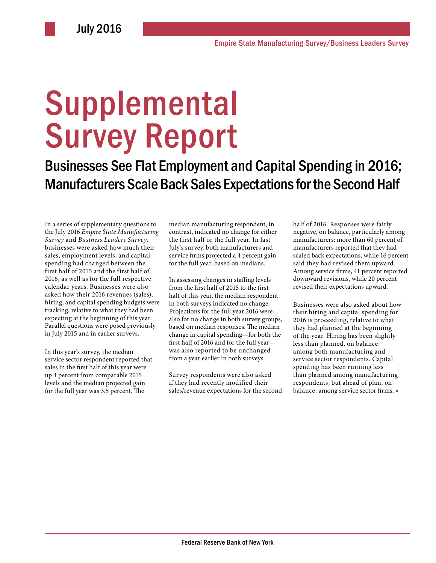# **Supplemental** Survey Report

Businesses See Flat Employment and Capital Spending in 2016; Manufacturers Scale Back Sales Expectations for the Second Half

In a series of supplementary questions to the July 2016 *Empire State Manufacturing Survey* and *Business Leaders Survey*, businesses were asked how much their sales, employment levels, and capital spending had changed between the first half of 2015 and the first half of 2016, as well as for the full respective calendar years. Businesses were also asked how their 2016 revenues (sales), hiring, and capital spending budgets were tracking, relative to what they had been expecting at the beginning of this year. Parallel questions were posed previously in July 2015 and in earlier surveys.

In this year's survey, the median service sector respondent reported that sales in the first half of this year were up 4 percent from comparable 2015 levels and the median projected gain for the full year was 3.5 percent. The

median manufacturing respondent, in contrast, indicated no change for either the first half or the full year. In last July's survey, both manufacturers and service firms projected a 4 percent gain for the full year, based on medians.

In assessing changes in staffing levels from the first half of 2015 to the first half of this year, the median respondent in both surveys indicated no change. Projections for the full year 2016 were also for no change in both survey groups, based on median responses. The median change in capital spending—for both the first half of 2016 and for the full year was also reported to be unchanged from a year earlier in both surveys.

Survey respondents were also asked if they had recently modified their sales/revenue expectations for the second half of 2016. Responses were fairly negative, on balance, particularly among manufacturers: more than 60 percent of manufacturers reported that they had scaled back expectations, while 16 percent said they had revised them upward. Among service firms, 41 percent reported downward revisions, while 20 percent revised their expectations upward.

Businesses were also asked about how their hiring and capital spending for 2016 is proceeding, relative to what they had planned at the beginning of the year. Hiring has been slightly less than planned, on balance, among both manufacturing and service sector respondents. Capital spending has been running less than planned among manufacturing respondents, but ahead of plan, on balance, among service sector firms. ■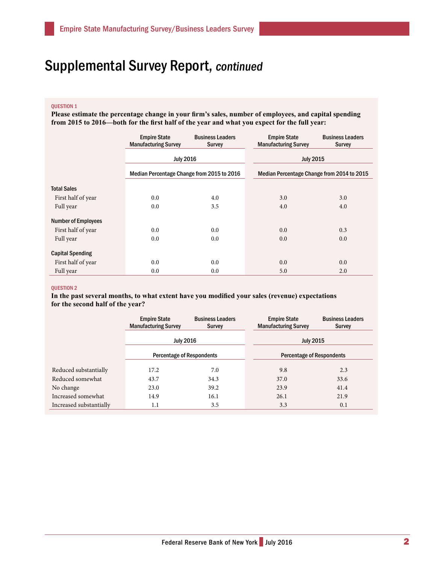### QUESTION 1

**Please estimate the percentage change in your firm's sales, number of employees, and capital spending from 2015 to 2016—both for the first half of the year and what you expect for the full year:**

|                            | <b>Empire State</b><br><b>Manufacturing Survey</b> | <b>Business Leaders</b><br><b>Survey</b> | <b>Empire State</b><br><b>Manufacturing Survey</b> | <b>Business Leaders</b><br><b>Survey</b> |
|----------------------------|----------------------------------------------------|------------------------------------------|----------------------------------------------------|------------------------------------------|
|                            | <b>July 2016</b>                                   |                                          | <b>July 2015</b>                                   |                                          |
|                            | Median Percentage Change from 2015 to 2016         |                                          | Median Percentage Change from 2014 to 2015         |                                          |
| <b>Total Sales</b>         |                                                    |                                          |                                                    |                                          |
| First half of year         | 0.0                                                | 4.0                                      | 3.0                                                | 3.0                                      |
| Full year                  | 0.0                                                | 3.5                                      | 4.0                                                | 4.0                                      |
| <b>Number of Employees</b> |                                                    |                                          |                                                    |                                          |
| First half of year         | 0.0                                                | 0.0                                      | 0.0                                                | 0.3                                      |
| Full year                  | 0.0                                                | 0.0                                      | 0.0                                                | 0.0                                      |
| <b>Capital Spending</b>    |                                                    |                                          |                                                    |                                          |
| First half of year         | 0.0                                                | 0.0                                      | 0.0                                                | 0.0                                      |
| Full year                  | 0.0                                                | 0.0                                      | 5.0                                                | 2.0                                      |

#### QUESTION 2

**In the past several months, to what extent have you modified your sales (revenue) expectations for the second half of the year?**

|                         | <b>Empire State</b><br><b>Manufacturing Survey</b>   | <b>Business Leaders</b><br><b>Survey</b> | <b>Empire State</b><br><b>Manufacturing Survey</b> | <b>Business Leaders</b><br><b>Survey</b> |
|-------------------------|------------------------------------------------------|------------------------------------------|----------------------------------------------------|------------------------------------------|
|                         | <b>July 2016</b><br><b>Percentage of Respondents</b> |                                          | <b>July 2015</b>                                   |                                          |
|                         |                                                      |                                          | <b>Percentage of Respondents</b>                   |                                          |
| Reduced substantially   | 17.2                                                 | 7.0                                      | 9.8                                                | 2.3                                      |
| Reduced somewhat        | 43.7                                                 | 34.3                                     | 37.0                                               | 33.6                                     |
| No change               | 23.0                                                 | 39.2                                     | 23.9                                               | 41.4                                     |
| Increased somewhat      | 14.9                                                 | 16.1                                     | 26.1                                               | 21.9                                     |
| Increased substantially | 1.1                                                  | 3.5                                      | 3.3                                                | 0.1                                      |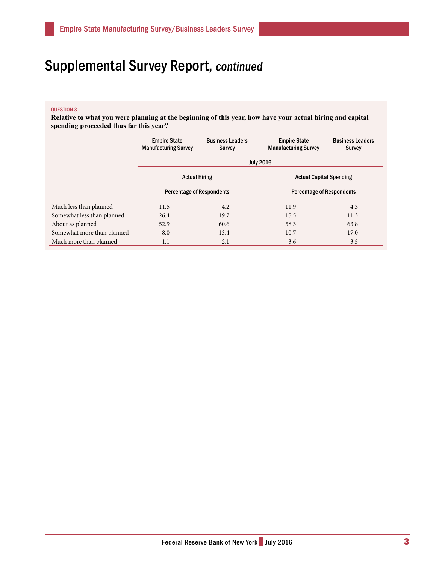### QUESTION 3

**Relative to what you were planning at the beginning of this year, how have your actual hiring and capital spending proceeded thus far this year?**

|                            | <b>Empire State</b><br><b>Manufacturing Survey</b> | <b>Business Leaders</b><br><b>Survey</b> | <b>Empire State</b><br><b>Manufacturing Survey</b> | <b>Business Leaders</b><br><b>Survey</b> |  |
|----------------------------|----------------------------------------------------|------------------------------------------|----------------------------------------------------|------------------------------------------|--|
|                            | <b>July 2016</b>                                   |                                          |                                                    |                                          |  |
|                            | <b>Actual Hiring</b>                               |                                          | <b>Actual Capital Spending</b>                     |                                          |  |
|                            | <b>Percentage of Respondents</b>                   |                                          | <b>Percentage of Respondents</b>                   |                                          |  |
| Much less than planned     | 11.5                                               | 4.2                                      | 11.9                                               | 4.3                                      |  |
| Somewhat less than planned | 26.4                                               | 19.7                                     | 15.5                                               | 11.3                                     |  |
| About as planned           | 52.9                                               | 60.6                                     | 58.3                                               | 63.8                                     |  |
| Somewhat more than planned | 8.0                                                | 13.4                                     | 10.7                                               | 17.0                                     |  |
| Much more than planned     | 1.1                                                | 2.1                                      | 3.6                                                | 3.5                                      |  |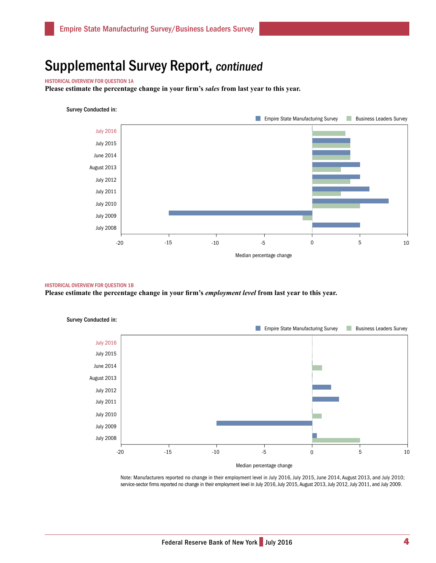#### HISTORICAL OVERVIEW FOR QUESTION 1A

**Please estimate the percentage change in your firm's** *sales* **from last year to this year.**

#### Survey Conducted in:



#### HISTORICAL OVERVIEW FOR QUESTION 1B

**Please estimate the percentage change in your firm's** *employment level* **from last year to this year.** 



Note: Manufacturers reported no change in their employment level in July 2016, July 2015, June 2014, August 2013, and July 2010; service-sector firms reported no change in their employment level in July 2016, July 2015, August 2013, July 2012, July 2011, and July 2009.